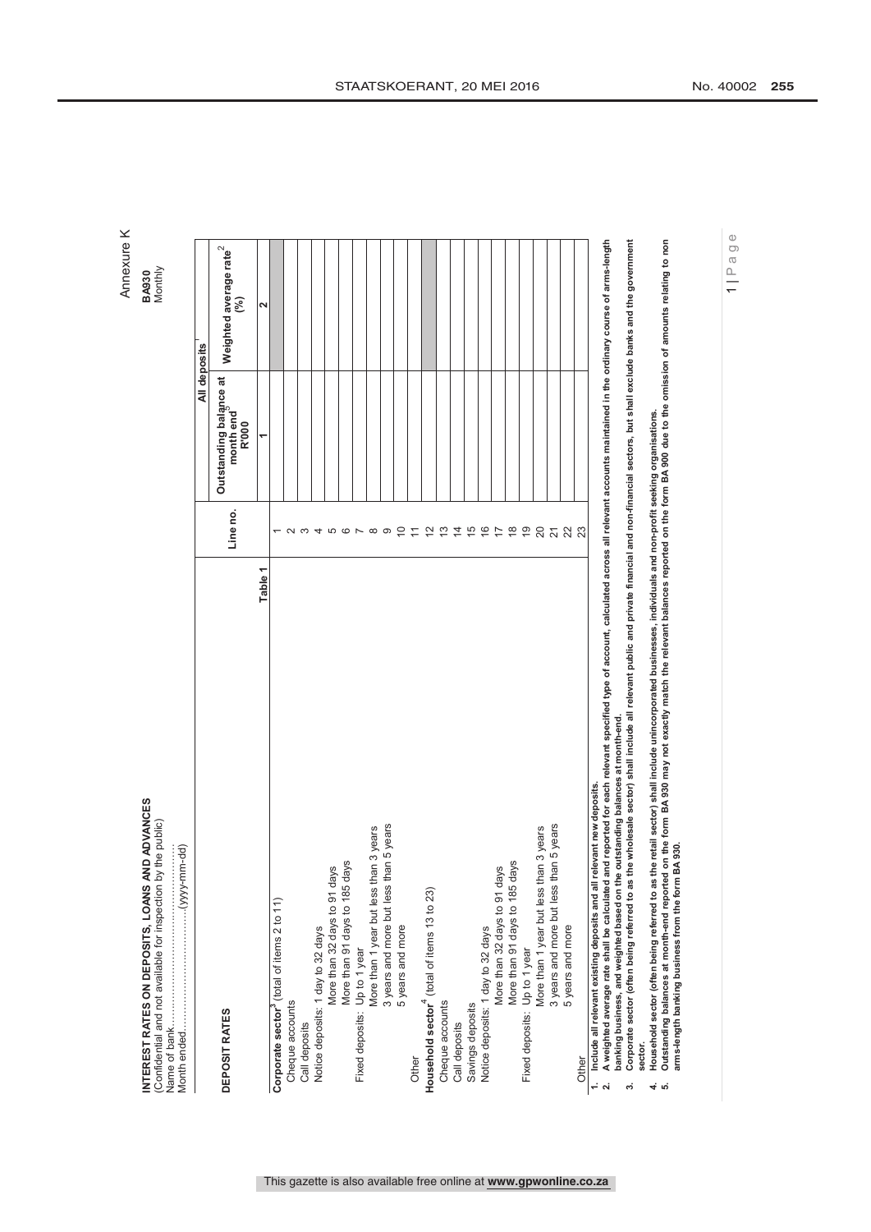| <b>Aonthiv</b><br><b>BA930</b>                                                                                           |  |
|--------------------------------------------------------------------------------------------------------------------------|--|
| <b>LOANS AND ADVANCES</b><br>Confidential and not available for inspection by the public)<br>INTEREST RATES ON DEPOSITS. |  |

|                                                                                                                                                                                                                    |                  | All deposits                                 |                                            |
|--------------------------------------------------------------------------------------------------------------------------------------------------------------------------------------------------------------------|------------------|----------------------------------------------|--------------------------------------------|
| DEPOSIT RATES                                                                                                                                                                                                      | Line no.         | Outstanding balance at<br>month end<br>R'000 | Weighted average rate <sup>2</sup><br>શ્રી |
| Table <sub>1</sub>                                                                                                                                                                                                 |                  | ᡪ                                            | Ν                                          |
| Corporate sector <sup>3</sup> (total of items 2 to 11)                                                                                                                                                             |                  |                                              |                                            |
| Cheque accounts                                                                                                                                                                                                    |                  |                                              |                                            |
| Call deposits                                                                                                                                                                                                      | က                |                                              |                                            |
| Notice deposits: 1 day to 32 days                                                                                                                                                                                  | 4                |                                              |                                            |
| More than 32 days to 91 days                                                                                                                                                                                       |                  |                                              |                                            |
| More than 91 days to 185 days                                                                                                                                                                                      | 500 <sub>2</sub> |                                              |                                            |
| Fixed deposits: Up to 1 year                                                                                                                                                                                       |                  |                                              |                                            |
| More than 1 year but less than 3 years                                                                                                                                                                             | $\infty$         |                                              |                                            |
| 3 years and more but less than 5 years                                                                                                                                                                             | တ                |                                              |                                            |
| 5 years and more                                                                                                                                                                                                   | $\overline{C}$   |                                              |                                            |
| Other                                                                                                                                                                                                              | $\overline{r}$   |                                              |                                            |
| Household sector <sup>4</sup> (total of items 13 to 23)                                                                                                                                                            | $\tilde{c}$      |                                              |                                            |
| Cheque accounts                                                                                                                                                                                                    | $\frac{10}{2}$   |                                              |                                            |
| Call deposits                                                                                                                                                                                                      |                  |                                              |                                            |
| Savings deposits                                                                                                                                                                                                   | 15               |                                              |                                            |
| Notice deposits: 1 day to 32 days                                                                                                                                                                                  | $\frac{6}{5}$    |                                              |                                            |
| More than 32 days to 91 days                                                                                                                                                                                       | $\overline{1}$   |                                              |                                            |
| More than 91 days to 185 days                                                                                                                                                                                      | $\frac{8}{1}$    |                                              |                                            |
| Fixed deposits: Up to 1 year                                                                                                                                                                                       | $\overline{6}$   |                                              |                                            |
| More than 1 year but less than 3 years                                                                                                                                                                             | 20               |                                              |                                            |
| 3 years and more but less than 5 years                                                                                                                                                                             | 223              |                                              |                                            |
| 5 years and more                                                                                                                                                                                                   |                  |                                              |                                            |
| Other                                                                                                                                                                                                              |                  |                                              |                                            |
| - Alexandra March Anna Actor Anna Anna Anna Anna Lana anna anna 14 anns 14 anns 20 anns 16 anns 16 anns 16 an<br>evant new deposits.<br>1. Include all relevant existing deposits and all rel<br><b>Contractor</b> |                  |                                              |                                            |

This gazette is also available free online at **www.gpwonline.co.za**

**2. A weighted average rate shall be calculated and reported for each relevant specified type of account, calculated across all relevant accounts maintained in the ordinary course of arms-length**  in the ordinary course of arms-length g maintail all relevant accounts across gg A weighted average rate shall be calculated and reported for each relevant specified type of account, calculat<br>banking business, and weighted based on the outstanding balances at month-end. **banking business, and weighted based on the outstanding balances at month-end.** N.

Corporate sector (often being referred to as the wholesale sector) shall include all relevant public and private financial and non-financial sectors, but shall exclude banks and the government 3. Corporate sector (often being referred to as the wholesale sector) shall include all relevant public and private financial and non-financial sectors, but shall exclude banks and the government **sector.** က်

**4. Household sector (often being referred to as the retail sector) shall include unincorporated businesses, individuals and non-profit seeking organisations.**  $4.6$ 

Household sector (often being referred to as the retail sector) shall include unincorporated businesses, individuals and non-profit seeking organisations.<br>Outstanding balances at month-end reported on the form BA 930 may n **5. Outstanding balances at month-end reported on the form BA 930 may not exactly match the relevant balances reported on the form BA 900 due to the omission of amounts relating to non arms-length banking business from the form BA 930.**

1 | Page

Annexure K Annexure K BA930<br>Monthly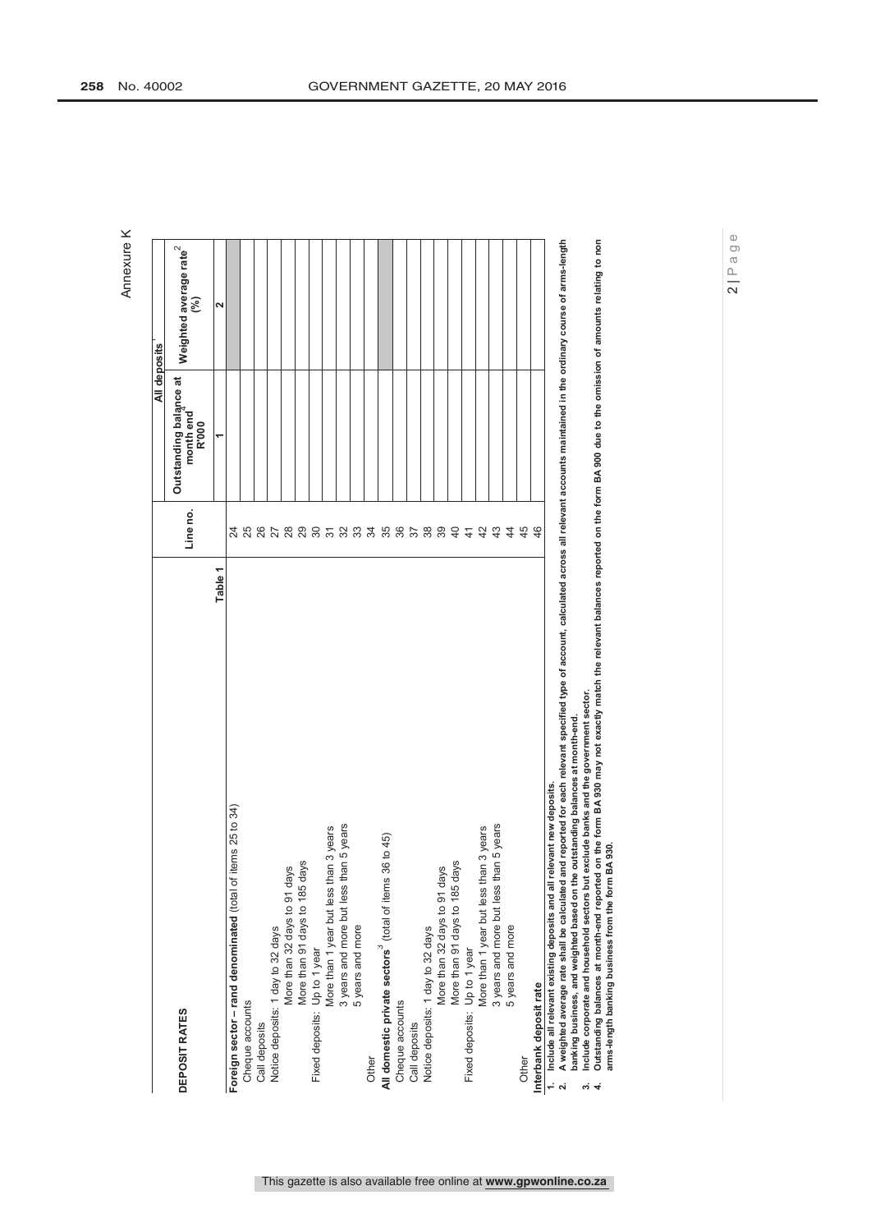| DEPOSIT RATES                                                                                                                                                                                                                                                             | Line no.        | Outstanding balance at<br>month end<br>R'000 | Weighted average rate <sup>2</sup><br>$\widehat{\mathcal{E}}$ |
|---------------------------------------------------------------------------------------------------------------------------------------------------------------------------------------------------------------------------------------------------------------------------|-----------------|----------------------------------------------|---------------------------------------------------------------|
| Table 1                                                                                                                                                                                                                                                                   |                 |                                              | Σ                                                             |
| of items 25 to 34)<br>Foreign sector - rand denominated (total                                                                                                                                                                                                            | 24              |                                              |                                                               |
| Cheque accounts                                                                                                                                                                                                                                                           | <b>25</b><br>26 |                                              |                                                               |
| Call deposits                                                                                                                                                                                                                                                             |                 |                                              |                                                               |
| Notice deposits: 1 day to 32 days                                                                                                                                                                                                                                         | 27              |                                              |                                                               |
| days<br>More than 32 days to 91                                                                                                                                                                                                                                           |                 |                                              |                                                               |
| More than 91 days to 185 days                                                                                                                                                                                                                                             | $\frac{8}{2}$   |                                              |                                                               |
| Fixed deposits: Up to 1 year                                                                                                                                                                                                                                              |                 |                                              |                                                               |
| More than 1 year but less than 3 years                                                                                                                                                                                                                                    | $\frac{5}{6}$   |                                              |                                                               |
| 3 years and more but less than 5 years                                                                                                                                                                                                                                    | 33              |                                              |                                                               |
| 5 years and more                                                                                                                                                                                                                                                          |                 |                                              |                                                               |
| Other                                                                                                                                                                                                                                                                     | 34              |                                              |                                                               |
| All domestic private sectors <sup>3</sup> (total of items 36 to 45)                                                                                                                                                                                                       | 35              |                                              |                                                               |
| Cheque accounts                                                                                                                                                                                                                                                           | 36              |                                              |                                                               |
| Call deposits                                                                                                                                                                                                                                                             |                 |                                              |                                                               |
| Notice deposits: 1 day to 32 days                                                                                                                                                                                                                                         | 38              |                                              |                                                               |
| More than 32 days to 91 days                                                                                                                                                                                                                                              | 39              |                                              |                                                               |
| More than 91 days to 185 days                                                                                                                                                                                                                                             | $\overline{4}$  |                                              |                                                               |
|                                                                                                                                                                                                                                                                           | $\frac{4}{3}$   |                                              |                                                               |
| Fixed deposits: Up to 1 year<br>More than 1 year but less than 3 years                                                                                                                                                                                                    | 42              |                                              |                                                               |
| than 5 years<br>3 years and more but less                                                                                                                                                                                                                                 | 43              |                                              |                                                               |
| 5 years and more                                                                                                                                                                                                                                                          | $\frac{4}{3}$   |                                              |                                                               |
| Other                                                                                                                                                                                                                                                                     | 45              |                                              |                                                               |
| Interbank deposit rate                                                                                                                                                                                                                                                    | 46              |                                              |                                                               |
| A weighted average rate shall be calculated and reported for each relevant specified type of account, calculated across all relevant accounts maintained in the ordinary course of arms-length<br>1. Include all relevant existing deposits and all relevant new deposits |                 |                                              |                                                               |

**banking business, and weighted based on the outstanding balances at month-end.**

**3. Include corporate and household sectors but exclude banks and the government sector.**  $\vec{m}$  +

A weighted average rate shall be calculated and reported for each relevant specified type of account, calculated across all relevant accounts maintained in the ordinary course of arms-length<br>banking business, and weighted **4. Outstanding balances at month-end reported on the form BA 930 may not exactly match the relevant balances reported on the form BA 900 due to the omission of amounts relating to non arms-length banking business from the form BA 930.**

Annexure K

Annexure K

**All deposits**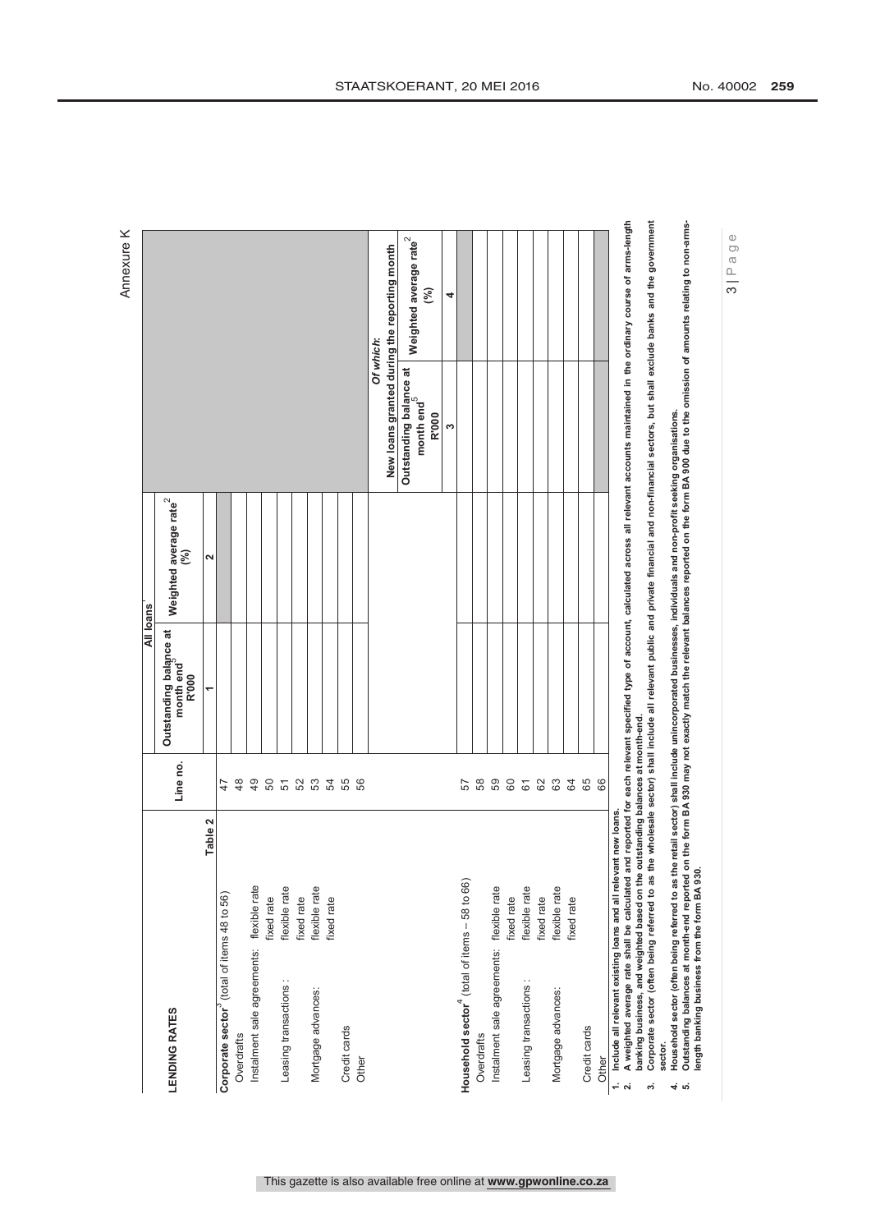|                                                                                                                                                                                                                                                                                                  |               |               |                                              |                                           |                                              | <b>VIDNUMINE</b>                   |
|--------------------------------------------------------------------------------------------------------------------------------------------------------------------------------------------------------------------------------------------------------------------------------------------------|---------------|---------------|----------------------------------------------|-------------------------------------------|----------------------------------------------|------------------------------------|
|                                                                                                                                                                                                                                                                                                  |               |               | All loans                                    |                                           |                                              |                                    |
| <b>LENDING RATES</b>                                                                                                                                                                                                                                                                             |               | Line no.      | Outstanding balance at<br>month end<br>R'000 | Weighted average rate <sup>2</sup><br>(%) |                                              |                                    |
|                                                                                                                                                                                                                                                                                                  | Table 2       |               | ᠆                                            | 2                                         |                                              |                                    |
| Corporate sector <sup>3</sup> (total of items 48 to 56)                                                                                                                                                                                                                                          |               | 47            |                                              |                                           |                                              |                                    |
| Overdrafts                                                                                                                                                                                                                                                                                       |               | $\frac{8}{4}$ |                                              |                                           |                                              |                                    |
| Instalment sale agreements: flexible rate                                                                                                                                                                                                                                                        |               | $\frac{9}{4}$ |                                              |                                           |                                              |                                    |
|                                                                                                                                                                                                                                                                                                  | fixed rate    |               |                                              |                                           |                                              |                                    |
| Leasing transactions:                                                                                                                                                                                                                                                                            | flexible rate |               |                                              |                                           |                                              |                                    |
|                                                                                                                                                                                                                                                                                                  | fixed rate    |               |                                              |                                           |                                              |                                    |
| Mortgage advances:                                                                                                                                                                                                                                                                               | flexible rate | 6586556       |                                              |                                           |                                              |                                    |
|                                                                                                                                                                                                                                                                                                  | fixed rate    |               |                                              |                                           |                                              |                                    |
| Credit cards                                                                                                                                                                                                                                                                                     |               |               |                                              |                                           |                                              |                                    |
| Other                                                                                                                                                                                                                                                                                            |               |               |                                              |                                           |                                              |                                    |
|                                                                                                                                                                                                                                                                                                  |               |               |                                              |                                           | Of which:                                    |                                    |
|                                                                                                                                                                                                                                                                                                  |               |               |                                              |                                           | New loans granted during the reporting month |                                    |
|                                                                                                                                                                                                                                                                                                  |               |               |                                              |                                           | Outstanding balance at                       | Weighted average rate <sup>2</sup> |
|                                                                                                                                                                                                                                                                                                  |               |               |                                              |                                           | month end <sup>3</sup>                       | 3                                  |
|                                                                                                                                                                                                                                                                                                  |               |               |                                              |                                           | R'000                                        |                                    |
|                                                                                                                                                                                                                                                                                                  |               |               |                                              |                                           | ω                                            | 4                                  |
| Household sector <sup>4</sup> (total of items - 58 to 66)                                                                                                                                                                                                                                        |               | 57            |                                              |                                           |                                              |                                    |
| Overdrafts                                                                                                                                                                                                                                                                                       |               | 58            |                                              |                                           |                                              |                                    |
| Instalment sale agreements:                                                                                                                                                                                                                                                                      | flexible rate | 59            |                                              |                                           |                                              |                                    |
|                                                                                                                                                                                                                                                                                                  | fixed rate    | $60\,$        |                                              |                                           |                                              |                                    |
| Leasing transactions:                                                                                                                                                                                                                                                                            | flexible rate | 61            |                                              |                                           |                                              |                                    |
|                                                                                                                                                                                                                                                                                                  | fixed rate    | $62$          |                                              |                                           |                                              |                                    |
| Mortgage advances:                                                                                                                                                                                                                                                                               | flexible rate | 63            |                                              |                                           |                                              |                                    |
|                                                                                                                                                                                                                                                                                                  | fixed rate    | 64            |                                              |                                           |                                              |                                    |
| Credit cards                                                                                                                                                                                                                                                                                     |               | 65            |                                              |                                           |                                              |                                    |
| Other                                                                                                                                                                                                                                                                                            |               | 66            |                                              |                                           |                                              |                                    |
| 1. Include all relevant existing loans and all relevant new loans.                                                                                                                                                                                                                               |               |               |                                              |                                           |                                              |                                    |
| A weighted average rate shall be calculated and reported for each relevant specified type of account, calculated across all relevant accounts maintained in the ordinary course of arms-length<br>banking business, and weighted based on the outstanding balances at month-end.<br>$\mathbf{a}$ |               |               |                                              |                                           |                                              |                                    |
| Corporate sector (often being referred to as the wholesale sector) shall include all relevant public and private financial and non-financial sectors, but shall exclude banks and the government<br>∾,                                                                                           |               |               |                                              |                                           |                                              |                                    |
| Household sector (often being referred to as the retail sector) shall include unincorporated businesses, individuals and non-profit seeking organisations.<br>sector.                                                                                                                            |               |               |                                              |                                           |                                              |                                    |
| Outstanding balances at month-end reported on the form BA 930 may not exactly match the relevant balances reported on the form BA 900 due to the omission of amounts relating to non-arms-<br>4.10                                                                                               |               |               |                                              |                                           |                                              |                                    |
| length banking business from the form BA 930.                                                                                                                                                                                                                                                    |               |               |                                              |                                           |                                              |                                    |

Annexure K Annexure K

 $3 | P$ age